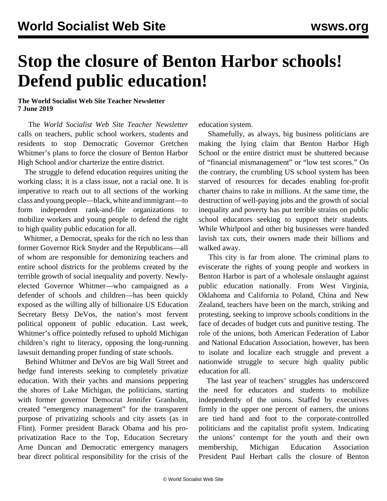## **Stop the closure of Benton Harbor schools! Defend public education!**

**The World Socialist Web Site Teacher Newsletter 7 June 2019**

 The *World Socialist Web Site Teacher Newsletter* calls on teachers, public school workers, students and residents to stop Democratic Governor Gretchen Whitmer's plans to force the closure of Benton Harbor High School and/or charterize the entire district.

 The struggle to defend education requires uniting the working class; it is a class issue, not a racial one. It is imperative to reach out to all sections of the working class and young people—black, white and immigrant—to form independent rank-and-file organizations to mobilize workers and young people to defend the right to high quality public education for all.

 Whitmer, a Democrat, speaks for the rich no less than former Governor Rick Snyder and the Republicans—all of whom are responsible for demonizing teachers and entire school districts for the problems created by the terrible growth of social inequality and poverty. Newlyelected Governor Whitmer—who campaigned as a defender of schools and children—has been quickly exposed as the willing ally of billionaire US Education Secretary Betsy DeVos, the nation's most fervent political opponent of public education. Last week, Whitmer's office pointedly refused to uphold Michigan children's right to literacy, opposing the long-running lawsuit demanding proper funding of state schools.

 Behind Whitmer and DeVos are big Wall Street and hedge fund interests seeking to completely privatize education. With their yachts and mansions peppering the shores of Lake Michigan, the politicians, starting with former governor Democrat Jennifer Granholm, created "emergency management" for the transparent purpose of privatizing schools and city assets (as in Flint). Former president Barack Obama and his proprivatization Race to the Top, Education Secretary Arne Duncan and Democratic emergency managers bear direct political responsibility for the crisis of the education system.

 Shamefully, as always, big business politicians are making the lying claim that Benton Harbor High School or the entire district must be shuttered because of "financial mismanagement" or "low test scores." On the contrary, the crumbling US school system has been starved of resources for decades enabling for-profit charter chains to rake in millions. At the same time, the destruction of well-paying jobs and the growth of social inequality and poverty has put terrible strains on public school educators seeking to support their students. While Whirlpool and other big businesses were handed lavish tax cuts, their owners made their billions and walked away.

 This city is far from alone. The criminal plans to eviscerate the rights of young people and workers in Benton Harbor is part of a wholesale onslaught against public education nationally. From West Virginia, Oklahoma and California to Poland, China and New Zealand, teachers have been on the march, striking and protesting, seeking to improve schools conditions in the face of decades of budget cuts and punitive testing. The role of the unions, both American Federation of Labor and National Education Association, however, has been to isolate and localize each struggle and prevent a nationwide struggle to secure high quality public education for all.

 The last year of teachers' struggles has underscored the need for educators and students to mobilize independently of the unions. Staffed by executives firmly in the upper one percent of earners, the unions are tied hand and foot to the corporate-controlled politicians and the capitalist profit system. Indicating the unions' contempt for the youth and their own membership, Michigan Education Association President Paul Herbart calls the closure of Benton